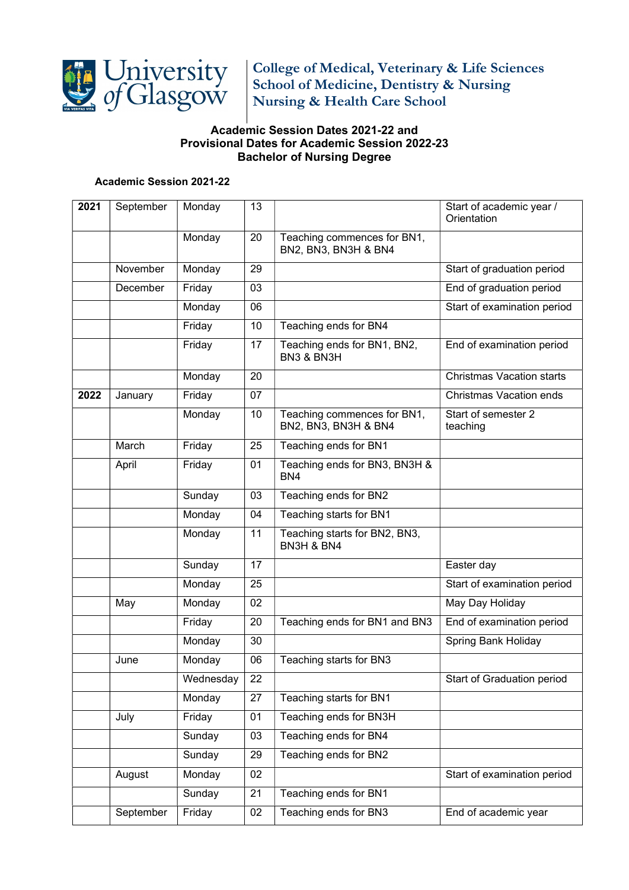

College of Medical, Veterinary & Life Sciences School of Medicine, Dentistry & Nursing Nursing & Health Care School

## Academic Session Dates 2021-22 and Provisional Dates for Academic Session 2022-23 Bachelor of Nursing Degree

## Academic Session 2021-22

| 2021 | September | Monday    | 13 |                                                     | Start of academic year /<br>Orientation |
|------|-----------|-----------|----|-----------------------------------------------------|-----------------------------------------|
|      |           | Monday    | 20 | Teaching commences for BN1,<br>BN2, BN3, BN3H & BN4 |                                         |
|      | November  | Monday    | 29 |                                                     | Start of graduation period              |
|      | December  | Friday    | 03 |                                                     | End of graduation period                |
|      |           | Monday    | 06 |                                                     | Start of examination period             |
|      |           | Friday    | 10 | Teaching ends for BN4                               |                                         |
|      |           | Friday    | 17 | Teaching ends for BN1, BN2,<br>BN3 & BN3H           | End of examination period               |
|      |           | Monday    | 20 |                                                     | <b>Christmas Vacation starts</b>        |
| 2022 | January   | Friday    | 07 |                                                     | <b>Christmas Vacation ends</b>          |
|      |           | Monday    | 10 | Teaching commences for BN1,<br>BN2, BN3, BN3H & BN4 | Start of semester 2<br>teaching         |
|      | March     | Friday    | 25 | Teaching ends for BN1                               |                                         |
|      | April     | Friday    | 01 | Teaching ends for BN3, BN3H &<br>BN4                |                                         |
|      |           | Sunday    | 03 | Teaching ends for BN2                               |                                         |
|      |           | Monday    | 04 | Teaching starts for BN1                             |                                         |
|      |           | Monday    | 11 | Teaching starts for BN2, BN3,<br>BN3H & BN4         |                                         |
|      |           | Sunday    | 17 |                                                     | Easter day                              |
|      |           | Monday    | 25 |                                                     | Start of examination period             |
|      | May       | Monday    | 02 |                                                     | May Day Holiday                         |
|      |           | Friday    | 20 | Teaching ends for BN1 and BN3                       | End of examination period               |
|      |           | Monday    | 30 |                                                     | Spring Bank Holiday                     |
|      | June      | Monday    | 06 | Teaching starts for BN3                             |                                         |
|      |           | Wednesday | 22 |                                                     | Start of Graduation period              |
|      |           | Monday    | 27 | Teaching starts for BN1                             |                                         |
|      | July      | Friday    | 01 | Teaching ends for BN3H                              |                                         |
|      |           | Sunday    | 03 | Teaching ends for BN4                               |                                         |
|      |           | Sunday    | 29 | Teaching ends for BN2                               |                                         |
|      | August    | Monday    | 02 |                                                     | Start of examination period             |
|      |           | Sunday    | 21 | Teaching ends for BN1                               |                                         |
|      | September | Friday    | 02 | Teaching ends for BN3                               | End of academic year                    |